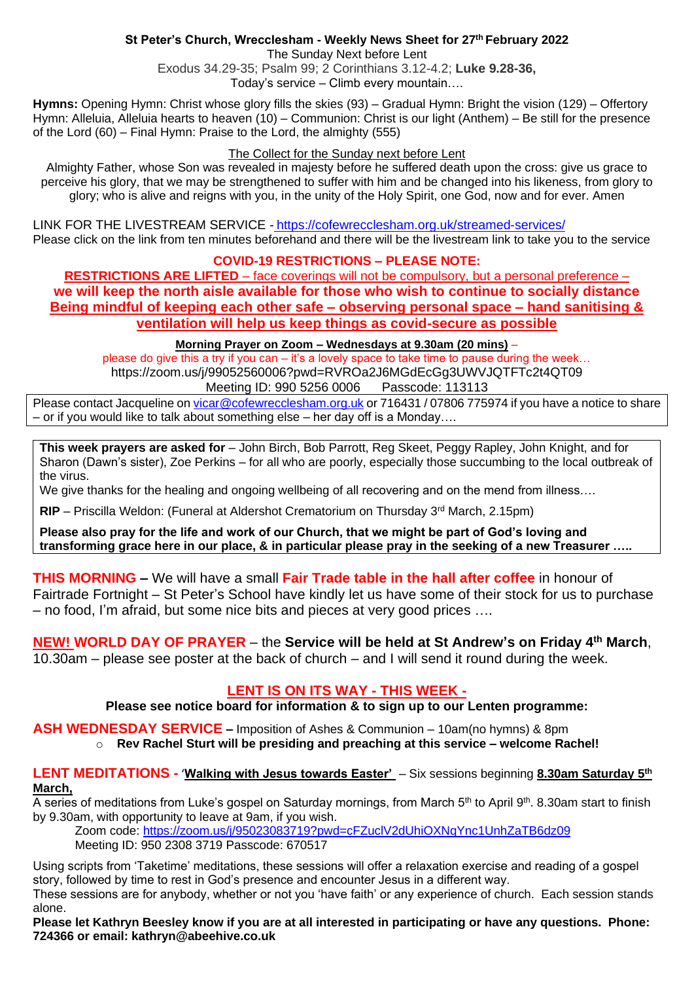# **St Peter's Church, Wrecclesham - Weekly News Sheet for 27 th February 2022**

The Sunday Next before Lent

Exodus 34.29-35; Psalm 99; 2 Corinthians 3.12-4.2; **Luke 9.28-36,** Today's service – Climb every mountain….

**Hymns:** Opening Hymn: Christ whose glory fills the skies (93) – Gradual Hymn: Bright the vision (129) – Offertory Hymn: Alleluia, Alleluia hearts to heaven (10) – Communion: Christ is our light (Anthem) – Be still for the presence of the Lord (60) – Final Hymn: Praise to the Lord, the almighty (555)

## The Collect for the Sunday next before Lent

Almighty Father, whose Son was revealed in majesty before he suffered death upon the cross: give us grace to perceive his glory, that we may be strengthened to suffer with him and be changed into his likeness, from glory to glory; who is alive and reigns with you, in the unity of the Holy Spirit, one God, now and for ever. Amen

LINK FOR THE LIVESTREAM SERVICE - <https://cofewrecclesham.org.uk/streamed-services/> Please click on the link from ten minutes beforehand and there will be the livestream link to take you to the service

# **COVID-19 RESTRICTIONS – PLEASE NOTE:**

**RESTRICTIONS ARE LIFTED** – face coverings will not be compulsory, but a personal preference – **we will keep the north aisle available for those who wish to continue to socially distance Being mindful of keeping each other safe – observing personal space – hand sanitising & ventilation will help us keep things as covid-secure as possible** 

## **Morning Prayer on Zoom – Wednesdays at 9.30am (20 mins)** –

please do give this a try if you can – it's a lovely space to take time to pause during the week… https://zoom.us/j/99052560006?pwd=RVROa2J6MGdEcGg3UWVJQTFTc2t4QT09 Meeting ID: 990 5256 0006 Passcode: 113113

Please contact Jacqueline on [vicar@cofewrecclesham.org.uk](mailto:vicar@cofewrecclesham.org.uk) or 716431 / 07806 775974 if you have a notice to share – or if you would like to talk about something else – her day off is a Monday….

**This week prayers are asked for** – John Birch, Bob Parrott, Reg Skeet, Peggy Rapley, John Knight, and for Sharon (Dawn's sister), Zoe Perkins – for all who are poorly, especially those succumbing to the local outbreak of the virus.

We give thanks for the healing and ongoing wellbeing of all recovering and on the mend from illness....

**RIP** – Priscilla Weldon: (Funeral at Aldershot Crematorium on Thursday 3<sup>rd</sup> March, 2.15pm)

**Please also pray for the life and work of our Church, that we might be part of God's loving and transforming grace here in our place, & in particular please pray in the seeking of a new Treasurer …..**

**THIS MORNING –** We will have a small **Fair Trade table in the hall after coffee** in honour of Fairtrade Fortnight – St Peter's School have kindly let us have some of their stock for us to purchase – no food, I'm afraid, but some nice bits and pieces at very good prices ….

**NEW! WORLD DAY OF PRAYER** – the **Service will be held at St Andrew's on Friday 4th March**, 10.30am – please see poster at the back of church – and I will send it round during the week.

# **LENT IS ON ITS WAY - THIS WEEK -**

**Please see notice board for information & to sign up to our Lenten programme:**

**ASH WEDNESDAY SERVICE –** Imposition of Ashes & Communion – 10am(no hymns) & 8pm

o **Rev Rachel Sturt will be presiding and preaching at this service – welcome Rachel!**

## **LENT MEDITATIONS -** '**Walking with Jesus towards Easter'** – Six sessions beginning **8.30am Saturday 5th March,**

A series of meditations from Luke's gospel on Saturday mornings, from March 5<sup>th</sup> to April 9<sup>th</sup>. 8.30am start to finish by 9.30am, with opportunity to leave at 9am, if you wish.

Zoom code:<https://zoom.us/j/95023083719?pwd=cFZuclV2dUhiOXNqYnc1UnhZaTB6dz09> Meeting ID: 950 2308 3719 Passcode: 670517

Using scripts from 'Taketime' meditations, these sessions will offer a relaxation exercise and reading of a gospel story, followed by time to rest in God's presence and encounter Jesus in a different way. These sessions are for anybody, whether or not you 'have faith' or any experience of church. Each session stands

alone.

**Please let Kathryn Beesley know if you are at all interested in participating or have any questions. Phone: 724366 or email: kathryn@abeehive.co.uk**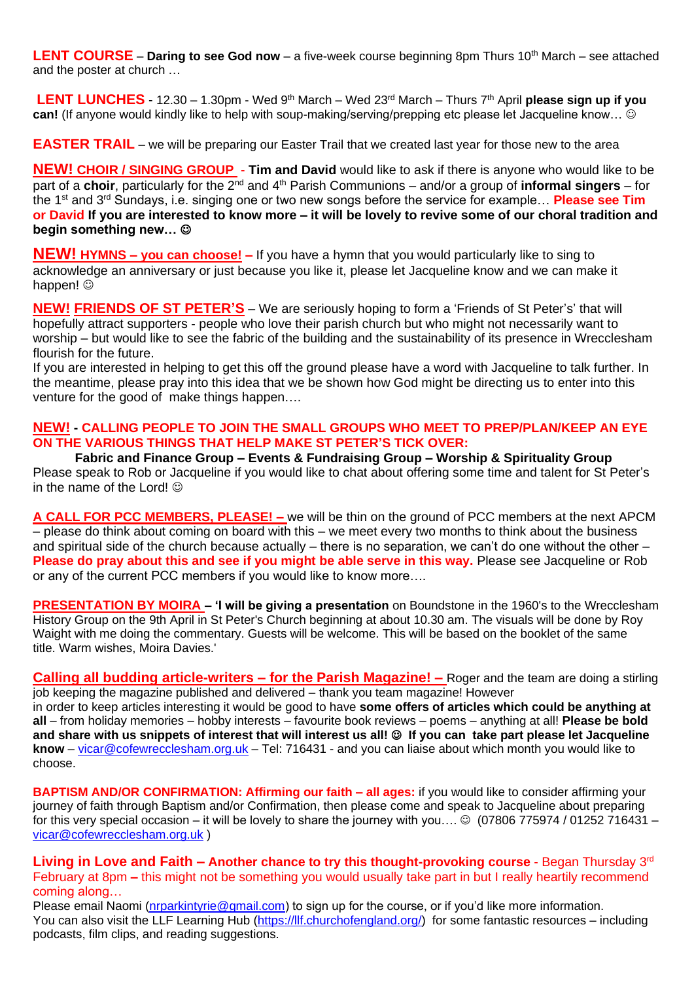**LENT COURSE** – **Daring to see God now** – a five-week course beginning 8pm Thurs 10<sup>th</sup> March – see attached and the poster at church …

LENT LUNCHES - 12.30 - 1.30pm - Wed 9<sup>th</sup> March - Wed 23<sup>rd</sup> March - Thurs 7<sup>th</sup> April please sign up if you **can!** (If anyone would kindly like to help with soup-making/serving/prepping etc please let Jacqueline know… ☺

**EASTER TRAIL** – we will be preparing our Easter Trail that we created last year for those new to the area

**NEW! CHOIR / SINGING GROUP** - **Tim and David** would like to ask if there is anyone who would like to be part of a **choir**, particularly for the 2<sup>nd</sup> and 4<sup>th</sup> Parish Communions – and/or a group of **informal singers** – for the 1st and 3rd Sundays, i.e. singing one or two new songs before the service for example… **Please see Tim or David If you are interested to know more – it will be lovely to revive some of our choral tradition and begin something new…** ☺

**NEW! HYMNS – you can choose! –** If you have a hymn that you would particularly like to sing to acknowledge an anniversary or just because you like it, please let Jacqueline know and we can make it happen!  $\circledcirc$ 

**NEW! FRIENDS OF ST PETER'S** – We are seriously hoping to form a 'Friends of St Peter's' that will hopefully attract supporters - people who love their parish church but who might not necessarily want to worship – but would like to see the fabric of the building and the sustainability of its presence in Wrecclesham flourish for the future.

If you are interested in helping to get this off the ground please have a word with Jacqueline to talk further. In the meantime, please pray into this idea that we be shown how God might be directing us to enter into this venture for the good of make things happen….

## **NEW! - CALLING PEOPLE TO JOIN THE SMALL GROUPS WHO MEET TO PREP/PLAN/KEEP AN EYE ON THE VARIOUS THINGS THAT HELP MAKE ST PETER'S TICK OVER:**

**Fabric and Finance Group – Events & Fundraising Group – Worship & Spirituality Group** Please speak to Rob or Jacqueline if you would like to chat about offering some time and talent for St Peter's in the name of the Lord!  $\odot$ 

**A CALL FOR PCC MEMBERS, PLEASE! –** we will be thin on the ground of PCC members at the next APCM – please do think about coming on board with this – we meet every two months to think about the business and spiritual side of the church because actually – there is no separation, we can't do one without the other – **Please do pray about this and see if you might be able serve in this way.** Please see Jacqueline or Rob or any of the current PCC members if you would like to know more….

**PRESENTATION BY MOIRA – 'I will be giving a presentation** on Boundstone in the 1960's to the Wrecclesham History Group on the 9th April in St Peter's Church beginning at about 10.30 am. The visuals will be done by Roy Waight with me doing the commentary. Guests will be welcome. This will be based on the booklet of the same title. Warm wishes, Moira Davies.'

**Calling all budding article-writers – for the Parish Magazine! –** Roger and the team are doing a stirling job keeping the magazine published and delivered – thank you team magazine! However in order to keep articles interesting it would be good to have **some offers of articles which could be anything at all** – from holiday memories – hobby interests – favourite book reviews – poems – anything at all! **Please be bold and share with us snippets of interest that will interest us all!** ☺ **If you can take part please let Jacqueline know** – [vicar@cofewrecclesham.org.uk](mailto:vicar@cofewrecclesham.org.uk) – Tel: 716431 - and you can liaise about which month you would like to choose.

**BAPTISM AND/OR CONFIRMATION: Affirming our faith – all ages:** if you would like to consider affirming your journey of faith through Baptism and/or Confirmation, then please come and speak to Jacqueline about preparing for this very special occasion – it will be lovely to share the journey with you....  $\odot$  (07806 775974 / 01252 716431 – [vicar@cofewrecclesham.org.uk](mailto:vicar@cofewrecclesham.org.uk) )

**Living in Love and Faith – Another chance to try this thought-provoking course** - Began Thursday 3rd February at 8pm **–** this might not be something you would usually take part in but I really heartily recommend coming along…

Please email Naomi [\(nrparkintyrie@gmail.com\)](mailto:nrparkintyrie@gmail.com) to sign up for the course, or if you'd like more information. You can also visit the LLF Learning Hub [\(https://llf.churchofengland.org/\)](https://llf.churchofengland.org/) for some fantastic resources – including podcasts, film clips, and reading suggestions.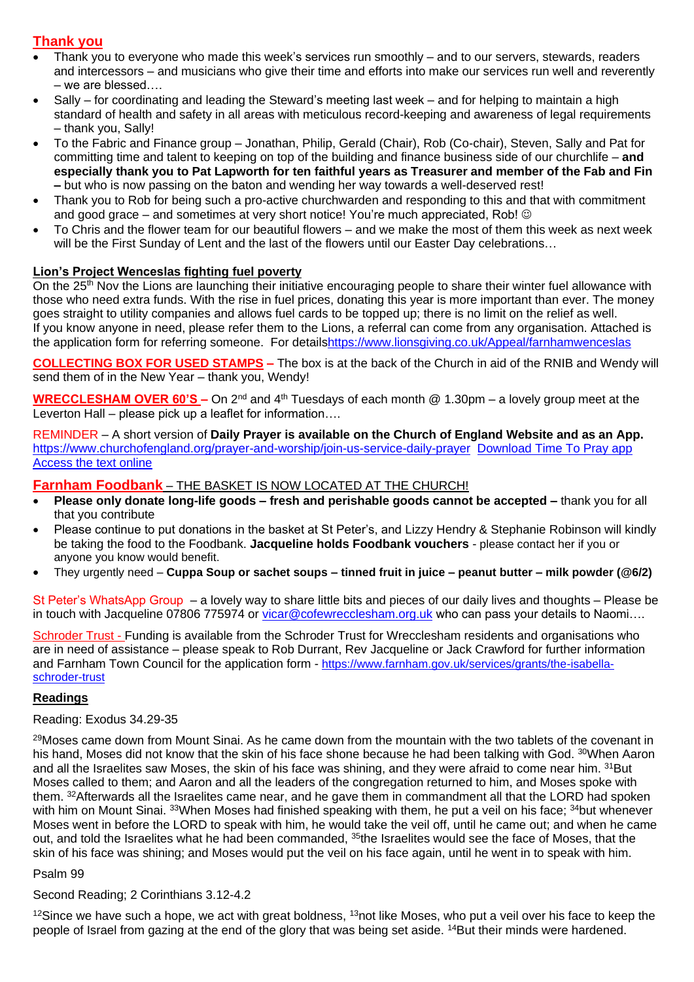# **Thank you**

- Thank you to everyone who made this week's services run smoothly and to our servers, stewards, readers and intercessors – and musicians who give their time and efforts into make our services run well and reverently – we are blessed….
- Sally for coordinating and leading the Steward's meeting last week and for helping to maintain a high standard of health and safety in all areas with meticulous record-keeping and awareness of legal requirements – thank you, Sally!
- To the Fabric and Finance group Jonathan, Philip, Gerald (Chair), Rob (Co-chair), Steven, Sally and Pat for committing time and talent to keeping on top of the building and finance business side of our churchlife – **and especially thank you to Pat Lapworth for ten faithful years as Treasurer and member of the Fab and Fin –** but who is now passing on the baton and wending her way towards a well-deserved rest!
- Thank you to Rob for being such a pro-active churchwarden and responding to this and that with commitment and good grace – and sometimes at very short notice! You're much appreciated, Rob! ©
- To Chris and the flower team for our beautiful flowers and we make the most of them this week as next week will be the First Sunday of Lent and the last of the flowers until our Easter Day celebrations...

## **Lion's Project Wenceslas fighting fuel poverty**

On the 25<sup>th</sup> Nov the Lions are launching their initiative encouraging people to share their winter fuel allowance with those who need extra funds. With the rise in fuel prices, donating this year is more important than ever. The money goes straight to utility companies and allows fuel cards to be topped up; there is no limit on the relief as well. If you know anyone in need, please refer them to the Lions, a referral can come from any organisation. Attached is the application form for referring someone. For detail[shttps://www.lionsgiving.co.uk/Appeal/farnhamwenceslas](https://www.lionsgiving.co.uk/Appeal/farnhamwenceslas)

**COLLECTING BOX FOR USED STAMPS –** The box is at the back of the Church in aid of the RNIB and Wendy will send them of in the New Year – thank you, Wendy!

**WRECCLESHAM OVER 60'S –** On 2nd and 4th Tuesdays of each month @ 1.30pm – a lovely group meet at the Leverton Hall – please pick up a leaflet for information….

REMINDER – A short version of **Daily Prayer is available on the Church of England Website and as an App.** <https://www.churchofengland.org/prayer-and-worship/join-us-service-daily-prayer> [Download Time To Pray app](https://www.chpublishing.co.uk/apps/time-to-pray)  [Access the text online](https://www.churchofengland.org/prayer-and-worship/join-us-in-daily-prayer/prayer-during-day-contemporary-Saturday-30-January-2021)

## **Farnham Foodbank** – THE BASKET IS NOW LOCATED AT THE CHURCH!

- **Please only donate long-life goods – fresh and perishable goods cannot be accepted –** thank you for all that you contribute
- Please continue to put donations in the basket at St Peter's, and Lizzy Hendry & Stephanie Robinson will kindly be taking the food to the Foodbank. **Jacqueline holds Foodbank vouchers** - please contact her if you or anyone you know would benefit.
- They urgently need **Cuppa Soup or sachet soups – tinned fruit in juice – peanut butter – milk powder (@6/2)**

St Peter's WhatsApp Group – a lovely way to share little bits and pieces of our daily lives and thoughts – Please be in touch with Jacqueline 07806 775974 or [vicar@cofewrecclesham.org.uk](mailto:vicar@cofewrecclesham.org.uk) who can pass your details to Naomi....

Schroder Trust - Funding is available from the Schroder Trust for Wrecclesham residents and organisations who are in need of assistance – please speak to Rob Durrant, Rev Jacqueline or Jack Crawford for further information and Farnham Town Council for the application form - [https://www.farnham.gov.uk/services/grants/the-isabella](https://www.farnham.gov.uk/services/grants/the-isabella-schroder-trust)[schroder-trust](https://www.farnham.gov.uk/services/grants/the-isabella-schroder-trust)

#### **Readings**

#### Reading: Exodus 34.29-35

<sup>29</sup>Moses came down from Mount Sinai. As he came down from the mountain with the two tablets of the covenant in his hand, Moses did not know that the skin of his face shone because he had been talking with God. 30When Aaron and all the Israelites saw Moses, the skin of his face was shining, and they were afraid to come near him. <sup>31</sup>But Moses called to them; and Aaron and all the leaders of the congregation returned to him, and Moses spoke with them. <sup>32</sup>Afterwards all the Israelites came near, and he gave them in commandment all that the LORD had spoken with him on Mount Sinai. 33When Moses had finished speaking with them, he put a veil on his face; 34but whenever Moses went in before the LORD to speak with him, he would take the veil off, until he came out; and when he came out, and told the Israelites what he had been commanded, <sup>35</sup>the Israelites would see the face of Moses, that the skin of his face was shining; and Moses would put the veil on his face again, until he went in to speak with him.

### Psalm 99

#### Second Reading; 2 Corinthians 3.12-4.2

 $12$ Since we have such a hope, we act with great boldness,  $13$ not like Moses, who put a veil over his face to keep the people of Israel from gazing at the end of the glory that was being set aside. <sup>14</sup>But their minds were hardened.